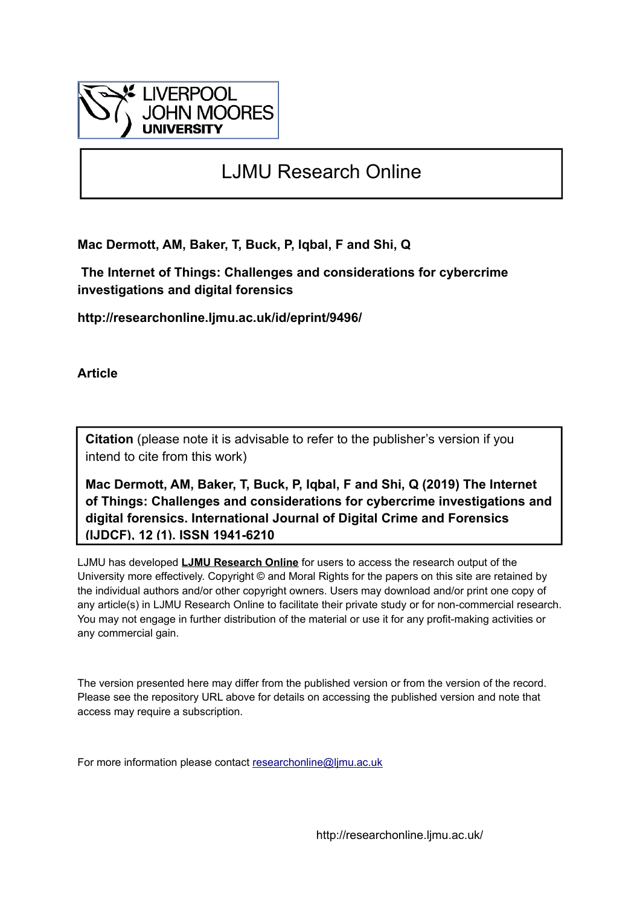

# LJMU Research Online

**Mac Dermott, AM, Baker, T, Buck, P, Iqbal, F and Shi, Q**

 **The Internet of Things: Challenges and considerations for cybercrime investigations and digital forensics**

**http://researchonline.ljmu.ac.uk/id/eprint/9496/**

**Article**

**Citation** (please note it is advisable to refer to the publisher's version if you intend to cite from this work)

**Mac Dermott, AM, Baker, T, Buck, P, Iqbal, F and Shi, Q (2019) The Internet of Things: Challenges and considerations for cybercrime investigations and digital forensics. International Journal of Digital Crime and Forensics (IJDCF), 12 (1). ISSN 1941-6210** 

LJMU has developed **[LJMU Research Online](http://researchonline.ljmu.ac.uk/)** for users to access the research output of the University more effectively. Copyright © and Moral Rights for the papers on this site are retained by the individual authors and/or other copyright owners. Users may download and/or print one copy of any article(s) in LJMU Research Online to facilitate their private study or for non-commercial research. You may not engage in further distribution of the material or use it for any profit-making activities or any commercial gain.

The version presented here may differ from the published version or from the version of the record. Please see the repository URL above for details on accessing the published version and note that access may require a subscription.

For more information please contact [researchonline@ljmu.ac.uk](mailto:researchonline@ljmu.ac.uk)

http://researchonline.ljmu.ac.uk/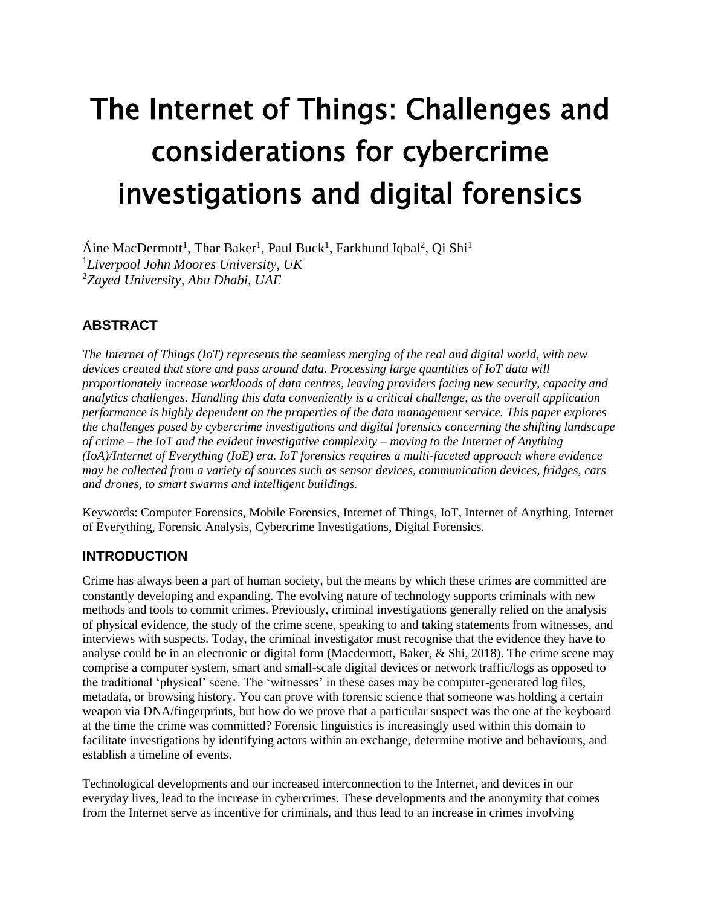# The Internet of Things: Challenges and considerations for cybercrime investigations and digital forensics

Áine MacDermott<sup>1</sup>, Thar Baker<sup>1</sup>, Paul Buck<sup>1</sup>, Farkhund Iqbal<sup>2</sup>, Qi Shi<sup>1</sup> <sup>1</sup>*Liverpool John Moores University, UK*  <sup>2</sup>*Zayed University, Abu Dhabi, UAE*

# **ABSTRACT**

*The Internet of Things (IoT) represents the seamless merging of the real and digital world, with new devices created that store and pass around data. Processing large quantities of IoT data will proportionately increase workloads of data centres, leaving providers facing new security, capacity and analytics challenges. Handling this data conveniently is a critical challenge, as the overall application performance is highly dependent on the properties of the data management service. This paper explores the challenges posed by cybercrime investigations and digital forensics concerning the shifting landscape of crime – the IoT and the evident investigative complexity – moving to the Internet of Anything (IoA)/Internet of Everything (IoE) era. IoT forensics requires a multi-faceted approach where evidence may be collected from a variety of sources such as sensor devices, communication devices, fridges, cars and drones, to smart swarms and intelligent buildings.*

Keywords: Computer Forensics, Mobile Forensics, Internet of Things, IoT, Internet of Anything, Internet of Everything, Forensic Analysis, Cybercrime Investigations, Digital Forensics.

### **INTRODUCTION**

Crime has always been a part of human society, but the means by which these crimes are committed are constantly developing and expanding. The evolving nature of technology supports criminals with new methods and tools to commit crimes. Previously, criminal investigations generally relied on the analysis of physical evidence, the study of the crime scene, speaking to and taking statements from witnesses, and interviews with suspects. Today, the criminal investigator must recognise that the evidence they have to analyse could be in an electronic or digital form (Macdermott, Baker, & Shi, 2018). The crime scene may comprise a computer system, smart and small-scale digital devices or network traffic/logs as opposed to the traditional 'physical' scene. The 'witnesses' in these cases may be computer-generated log files, metadata, or browsing history. You can prove with forensic science that someone was holding a certain weapon via DNA/fingerprints, but how do we prove that a particular suspect was the one at the keyboard at the time the crime was committed? Forensic linguistics is increasingly used within this domain to facilitate investigations by identifying actors within an exchange, determine motive and behaviours, and establish a timeline of events.

Technological developments and our increased interconnection to the Internet, and devices in our everyday lives, lead to the increase in cybercrimes. These developments and the anonymity that comes from the Internet serve as incentive for criminals, and thus lead to an increase in crimes involving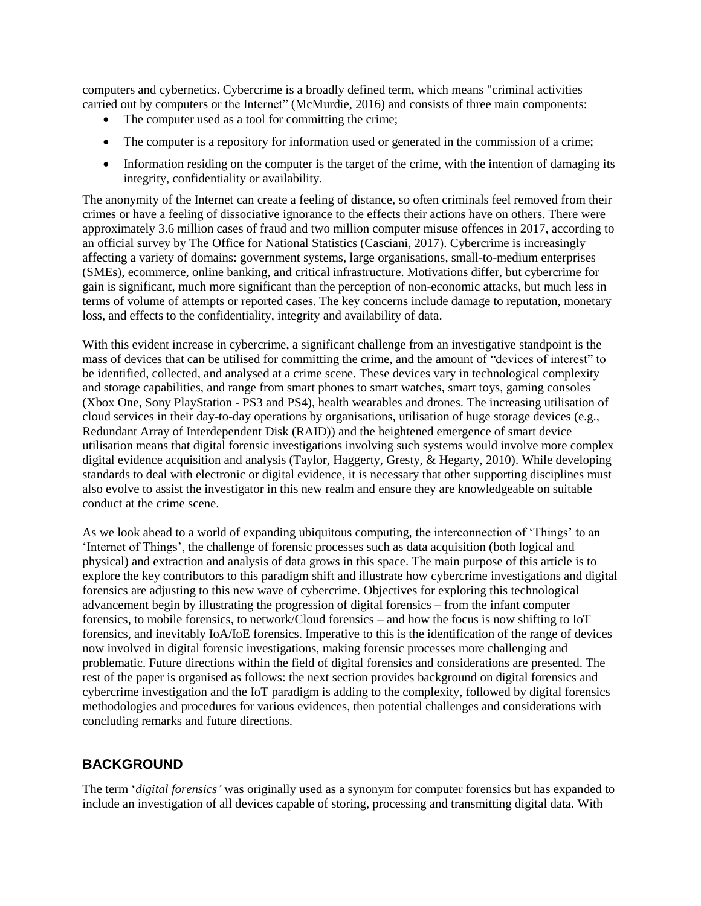computers and cybernetics. Cybercrime is a broadly defined term, which means "criminal activities carried out by computers or the Internet" (McMurdie, 2016) and consists of three main components:

- The computer used as a tool for committing the crime;
- The computer is a repository for information used or generated in the commission of a crime;
- Information residing on the computer is the target of the crime, with the intention of damaging its integrity, confidentiality or availability.

The anonymity of the Internet can create a feeling of distance, so often criminals feel removed from their crimes or have a feeling of dissociative ignorance to the effects their actions have on others. There were approximately 3.6 million cases of fraud and two million computer misuse offences in 2017, according to an official survey by The Office for National Statistics (Casciani, 2017). Cybercrime is increasingly affecting a variety of domains: government systems, large organisations, small-to-medium enterprises (SMEs), ecommerce, online banking, and critical infrastructure. Motivations differ, but cybercrime for gain is significant, much more significant than the perception of non-economic attacks, but much less in terms of volume of attempts or reported cases. The key concerns include damage to reputation, monetary loss, and effects to the confidentiality, integrity and availability of data.

With this evident increase in cybercrime, a significant challenge from an investigative standpoint is the mass of devices that can be utilised for committing the crime, and the amount of "devices of interest" to be identified, collected, and analysed at a crime scene. These devices vary in technological complexity and storage capabilities, and range from smart phones to smart watches, smart toys, gaming consoles (Xbox One, Sony PlayStation - PS3 and PS4), health wearables and drones. The increasing utilisation of cloud services in their day-to-day operations by organisations, utilisation of huge storage devices (e.g., Redundant Array of Interdependent Disk (RAID)) and the heightened emergence of smart device utilisation means that digital forensic investigations involving such systems would involve more complex digital evidence acquisition and analysis (Taylor, Haggerty, Gresty, & Hegarty, 2010). While developing standards to deal with electronic or digital evidence, it is necessary that other supporting disciplines must also evolve to assist the investigator in this new realm and ensure they are knowledgeable on suitable conduct at the crime scene.

As we look ahead to a world of expanding ubiquitous computing, the interconnection of 'Things' to an 'Internet of Things', the challenge of forensic processes such as data acquisition (both logical and physical) and extraction and analysis of data grows in this space. The main purpose of this article is to explore the key contributors to this paradigm shift and illustrate how cybercrime investigations and digital forensics are adjusting to this new wave of cybercrime. Objectives for exploring this technological advancement begin by illustrating the progression of digital forensics – from the infant computer forensics, to mobile forensics, to network/Cloud forensics – and how the focus is now shifting to IoT forensics, and inevitably IoA/IoE forensics. Imperative to this is the identification of the range of devices now involved in digital forensic investigations, making forensic processes more challenging and problematic. Future directions within the field of digital forensics and considerations are presented. The rest of the paper is organised as follows: the next section provides background on digital forensics and cybercrime investigation and the IoT paradigm is adding to the complexity, followed by digital forensics methodologies and procedures for various evidences, then potential challenges and considerations with concluding remarks and future directions.

# **BACKGROUND**

The term '*digital forensics'* was originally used as a synonym for computer forensics but has expanded to include an investigation of all devices capable of storing, processing and transmitting digital data. With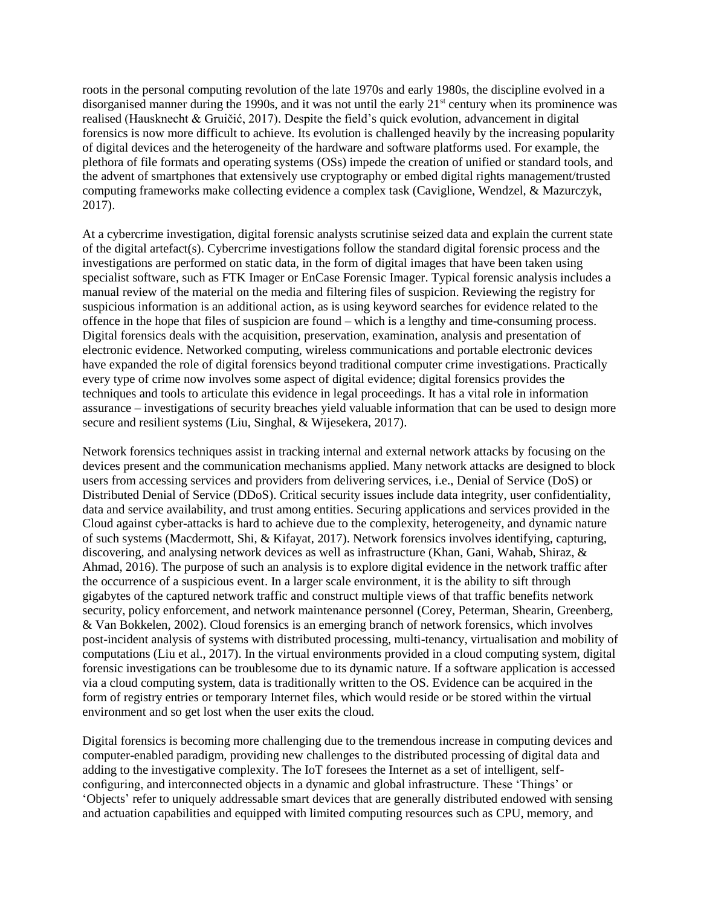roots in the personal computing revolution of the late 1970s and early 1980s, the discipline evolved in a disorganised manner during the 1990s, and it was not until the early  $21<sup>st</sup>$  century when its prominence was realised (Hausknecht & Gruičić, 2017). Despite the field's quick evolution, advancement in digital forensics is now more difficult to achieve. Its evolution is challenged heavily by the increasing popularity of digital devices and the heterogeneity of the hardware and software platforms used. For example, the plethora of file formats and operating systems (OSs) impede the creation of unified or standard tools, and the advent of smartphones that extensively use cryptography or embed digital rights management/trusted computing frameworks make collecting evidence a complex task (Caviglione, Wendzel, & Mazurczyk, 2017).

At a cybercrime investigation, digital forensic analysts scrutinise seized data and explain the current state of the digital artefact(s). Cybercrime investigations follow the standard digital forensic process and the investigations are performed on static data, in the form of digital images that have been taken using specialist software, such as FTK Imager or EnCase Forensic Imager. Typical forensic analysis includes a manual review of the material on the media and filtering files of suspicion. Reviewing the registry for suspicious information is an additional action, as is using keyword searches for evidence related to the offence in the hope that files of suspicion are found – which is a lengthy and time-consuming process. Digital forensics deals with the acquisition, preservation, examination, analysis and presentation of electronic evidence. Networked computing, wireless communications and portable electronic devices have expanded the role of digital forensics beyond traditional computer crime investigations. Practically every type of crime now involves some aspect of digital evidence; digital forensics provides the techniques and tools to articulate this evidence in legal proceedings. It has a vital role in information assurance – investigations of security breaches yield valuable information that can be used to design more secure and resilient systems (Liu, Singhal, & Wijesekera, 2017).

Network forensics techniques assist in tracking internal and external network attacks by focusing on the devices present and the communication mechanisms applied. Many network attacks are designed to block users from accessing services and providers from delivering services, i.e., Denial of Service (DoS) or Distributed Denial of Service (DDoS). Critical security issues include data integrity, user confidentiality, data and service availability, and trust among entities. Securing applications and services provided in the Cloud against cyber-attacks is hard to achieve due to the complexity, heterogeneity, and dynamic nature of such systems (Macdermott, Shi, & Kifayat, 2017). Network forensics involves identifying, capturing, discovering, and analysing network devices as well as infrastructure (Khan, Gani, Wahab, Shiraz, & Ahmad, 2016). The purpose of such an analysis is to explore digital evidence in the network traffic after the occurrence of a suspicious event. In a larger scale environment, it is the ability to sift through gigabytes of the captured network traffic and construct multiple views of that traffic benefits network security, policy enforcement, and network maintenance personnel (Corey, Peterman, Shearin, Greenberg, & Van Bokkelen, 2002). Cloud forensics is an emerging branch of network forensics, which involves post-incident analysis of systems with distributed processing, multi-tenancy, virtualisation and mobility of computations (Liu et al., 2017). In the virtual environments provided in a cloud computing system, digital forensic investigations can be troublesome due to its dynamic nature. If a software application is accessed via a cloud computing system, data is traditionally written to the OS. Evidence can be acquired in the form of registry entries or temporary Internet files, which would reside or be stored within the virtual environment and so get lost when the user exits the cloud.

Digital forensics is becoming more challenging due to the tremendous increase in computing devices and computer-enabled paradigm, providing new challenges to the distributed processing of digital data and adding to the investigative complexity. The IoT foresees the Internet as a set of intelligent, selfconfiguring, and interconnected objects in a dynamic and global infrastructure. These 'Things' or 'Objects' refer to uniquely addressable smart devices that are generally distributed endowed with sensing and actuation capabilities and equipped with limited computing resources such as CPU, memory, and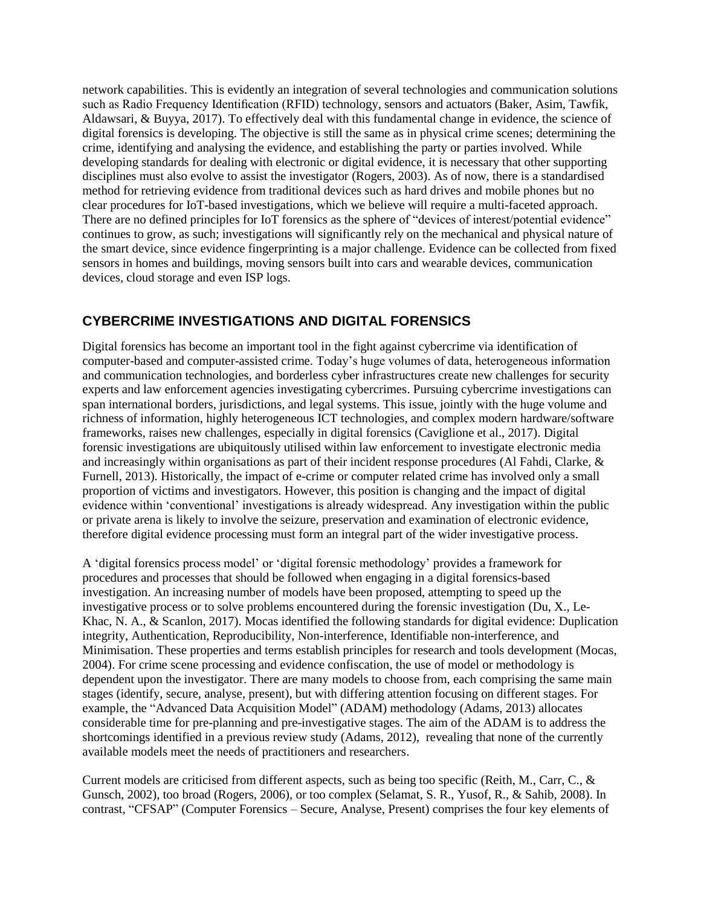network capabilities. This is evidently an integration of several technologies and communication solutions such as Radio Frequency Identification (RFID) technology, sensors and actuators (Baker, Asim, Tawfik, Aldawsari, & Buyya, 2017). To effectively deal with this fundamental change in evidence, the science of digital forensics is developing. The objective is still the same as in physical crime scenes; determining the crime, identifying and analysing the evidence, and establishing the party or parties involved. While developing standards for dealing with electronic or digital evidence, it is necessary that other supporting disciplines must also evolve to assist the investigator (Rogers, 2003). As of now, there is a standardised method for retrieving evidence from traditional devices such as hard drives and mobile phones but no clear procedures for IoT-based investigations, which we believe will require a multi-faceted approach. There are no defined principles for IoT forensics as the sphere of "devices of interest/potential evidence" continues to grow, as such; investigations will significantly rely on the mechanical and physical nature of the smart device, since evidence fingerprinting is a major challenge. Evidence can be collected from fixed sensors in homes and buildings, moving sensors built into cars and wearable devices, communication devices, cloud storage and even ISP logs.

### **CYBERCRIME INVESTIGATIONS AND DIGITAL FORENSICS**

Digital forensics has become an important tool in the fight against cybercrime via identification of computer-based and computer-assisted crime. Today's huge volumes of data, heterogeneous information and communication technologies, and borderless cyber infrastructures create new challenges for security experts and law enforcement agencies investigating cybercrimes. Pursuing cybercrime investigations can span international borders, jurisdictions, and legal systems. This issue, jointly with the huge volume and richness of information, highly heterogeneous ICT technologies, and complex modern hardware/software frameworks, raises new challenges, especially in digital forensics (Caviglione et al., 2017). Digital forensic investigations are ubiquitously utilised within law enforcement to investigate electronic media and increasingly within organisations as part of their incident response procedures (Al Fahdi, Clarke, & Furnell, 2013). Historically, the impact of e-crime or computer related crime has involved only a small proportion of victims and investigators. However, this position is changing and the impact of digital evidence within 'conventional' investigations is already widespread. Any investigation within the public or private arena is likely to involve the seizure, preservation and examination of electronic evidence, therefore digital evidence processing must form an integral part of the wider investigative process.

A 'digital forensics process model' or 'digital forensic methodology' provides a framework for procedures and processes that should be followed when engaging in a digital forensics-based investigation. An increasing number of models have been proposed, attempting to speed up the investigative process or to solve problems encountered during the forensic investigation (Du, X., Le-Khac, N. A., & Scanlon, 2017). Mocas identified the following standards for digital evidence: Duplication integrity, Authentication, Reproducibility, Non-interference, Identifiable non-interference, and Minimisation. These properties and terms establish principles for research and tools development (Mocas, 2004). For crime scene processing and evidence confiscation, the use of model or methodology is dependent upon the investigator. There are many models to choose from, each comprising the same main stages (identify, secure, analyse, present), but with differing attention focusing on different stages. For example, the "Advanced Data Acquisition Model" (ADAM) methodology (Adams, 2013) allocates considerable time for pre-planning and pre-investigative stages. The aim of the ADAM is to address the shortcomings identified in a previous review study (Adams, 2012), revealing that none of the currently available models meet the needs of practitioners and researchers.

Current models are criticised from different aspects, such as being too specific (Reith, M., Carr, C., & Gunsch, 2002), too broad (Rogers, 2006), or too complex (Selamat, S. R., Yusof, R., & Sahib, 2008). In contrast, "CFSAP" (Computer Forensics – Secure, Analyse, Present) comprises the four key elements of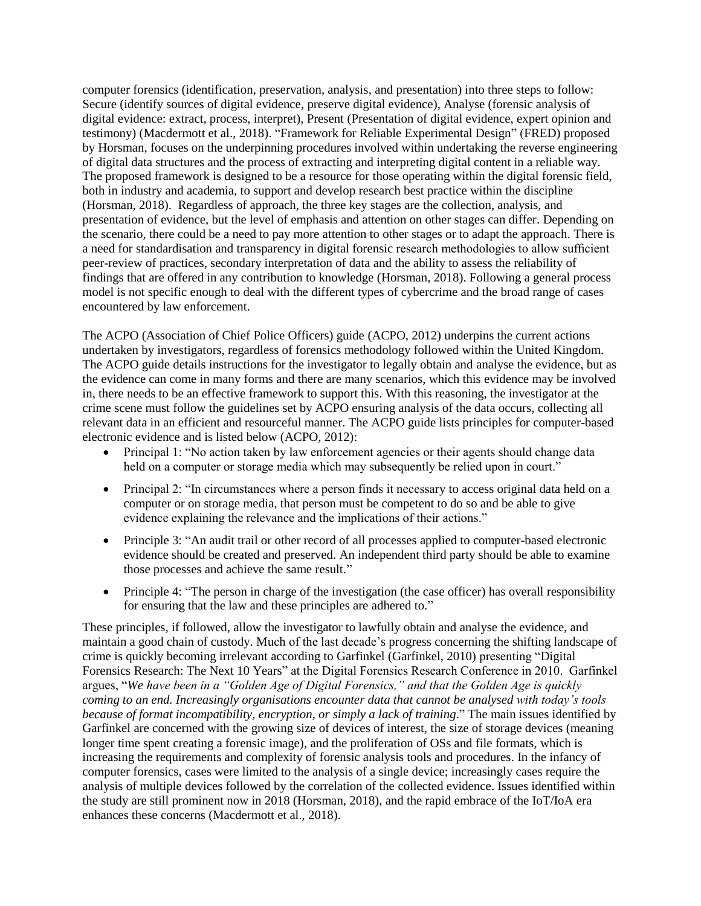computer forensics (identification, preservation, analysis, and presentation) into three steps to follow: Secure (identify sources of digital evidence, preserve digital evidence), Analyse (forensic analysis of digital evidence: extract, process, interpret), Present (Presentation of digital evidence, expert opinion and testimony) (Macdermott et al., 2018). "Framework for Reliable Experimental Design" (FRED) proposed by Horsman, focuses on the underpinning procedures involved within undertaking the reverse engineering of digital data structures and the process of extracting and interpreting digital content in a reliable way. The proposed framework is designed to be a resource for those operating within the digital forensic field, both in industry and academia, to support and develop research best practice within the discipline (Horsman, 2018). Regardless of approach, the three key stages are the collection, analysis, and presentation of evidence, but the level of emphasis and attention on other stages can differ. Depending on the scenario, there could be a need to pay more attention to other stages or to adapt the approach. There is a need for standardisation and transparency in digital forensic research methodologies to allow sufficient peer-review of practices, secondary interpretation of data and the ability to assess the reliability of findings that are offered in any contribution to knowledge (Horsman, 2018). Following a general process model is not specific enough to deal with the different types of cybercrime and the broad range of cases encountered by law enforcement.

The ACPO (Association of Chief Police Officers) guide (ACPO, 2012) underpins the current actions undertaken by investigators, regardless of forensics methodology followed within the United Kingdom. The ACPO guide details instructions for the investigator to legally obtain and analyse the evidence, but as the evidence can come in many forms and there are many scenarios, which this evidence may be involved in, there needs to be an effective framework to support this. With this reasoning, the investigator at the crime scene must follow the guidelines set by ACPO ensuring analysis of the data occurs, collecting all relevant data in an efficient and resourceful manner. The ACPO guide lists principles for computer-based electronic evidence and is listed below (ACPO, 2012):

- Principal 1: "No action taken by law enforcement agencies or their agents should change data held on a computer or storage media which may subsequently be relied upon in court."
- Principal 2: "In circumstances where a person finds it necessary to access original data held on a computer or on storage media, that person must be competent to do so and be able to give evidence explaining the relevance and the implications of their actions."
- Principle 3: "An audit trail or other record of all processes applied to computer-based electronic evidence should be created and preserved. An independent third party should be able to examine those processes and achieve the same result."
- Principle 4: "The person in charge of the investigation (the case officer) has overall responsibility for ensuring that the law and these principles are adhered to."

These principles, if followed, allow the investigator to lawfully obtain and analyse the evidence, and maintain a good chain of custody. Much of the last decade's progress concerning the shifting landscape of crime is quickly becoming irrelevant according to Garfinkel (Garfinkel, 2010) presenting "Digital Forensics Research: The Next 10 Years" at the Digital Forensics Research Conference in 2010. Garfinkel argues, "*We have been in a "Golden Age of Digital Forensics," and that the Golden Age is quickly coming to an end. Increasingly organisations encounter data that cannot be analysed with today's tools because of format incompatibility, encryption, or simply a lack of training*." The main issues identified by Garfinkel are concerned with the growing size of devices of interest, the size of storage devices (meaning longer time spent creating a forensic image), and the proliferation of OSs and file formats, which is increasing the requirements and complexity of forensic analysis tools and procedures. In the infancy of computer forensics, cases were limited to the analysis of a single device; increasingly cases require the analysis of multiple devices followed by the correlation of the collected evidence. Issues identified within the study are still prominent now in 2018 (Horsman, 2018), and the rapid embrace of the IoT/IoA era enhances these concerns (Macdermott et al., 2018).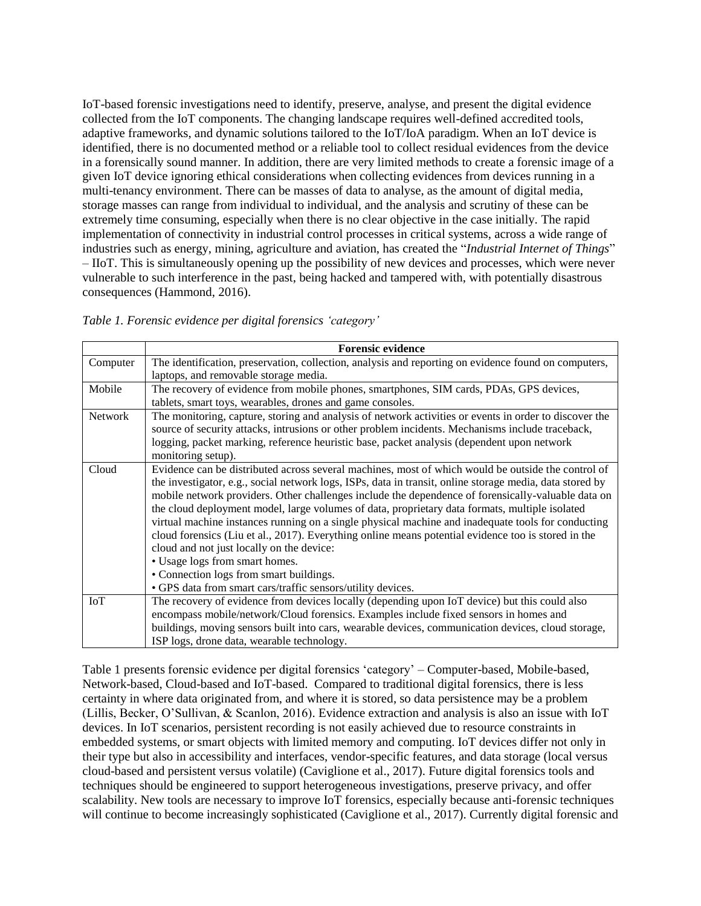IoT-based forensic investigations need to identify, preserve, analyse, and present the digital evidence collected from the IoT components. The changing landscape requires well-defined accredited tools, adaptive frameworks, and dynamic solutions tailored to the IoT/IoA paradigm. When an IoT device is identified, there is no documented method or a reliable tool to collect residual evidences from the device in a forensically sound manner. In addition, there are very limited methods to create a forensic image of a given IoT device ignoring ethical considerations when collecting evidences from devices running in a multi-tenancy environment. There can be masses of data to analyse, as the amount of digital media, storage masses can range from individual to individual, and the analysis and scrutiny of these can be extremely time consuming, especially when there is no clear objective in the case initially. The rapid implementation of connectivity in industrial control processes in critical systems, across a wide range of industries such as energy, mining, agriculture and aviation, has created the "*Industrial Internet of Things*" – IIoT. This is simultaneously opening up the possibility of new devices and processes, which were never vulnerable to such interference in the past, being hacked and tampered with, with potentially disastrous consequences (Hammond, 2016).

| Table 1. Forensic evidence per digital forensics 'category' |  |  |  |
|-------------------------------------------------------------|--|--|--|
|-------------------------------------------------------------|--|--|--|

|            | <b>Forensic evidence</b>                                                                                 |
|------------|----------------------------------------------------------------------------------------------------------|
| Computer   | The identification, preservation, collection, analysis and reporting on evidence found on computers,     |
|            | laptops, and removable storage media.                                                                    |
| Mobile     | The recovery of evidence from mobile phones, smartphones, SIM cards, PDAs, GPS devices,                  |
|            | tablets, smart toys, wearables, drones and game consoles.                                                |
| Network    | The monitoring, capture, storing and analysis of network activities or events in order to discover the   |
|            | source of security attacks, intrusions or other problem incidents. Mechanisms include traceback,         |
|            | logging, packet marking, reference heuristic base, packet analysis (dependent upon network               |
|            | monitoring setup).                                                                                       |
| Cloud      | Evidence can be distributed across several machines, most of which would be outside the control of       |
|            | the investigator, e.g., social network logs, ISPs, data in transit, online storage media, data stored by |
|            | mobile network providers. Other challenges include the dependence of forensically-valuable data on       |
|            | the cloud deployment model, large volumes of data, proprietary data formats, multiple isolated           |
|            | virtual machine instances running on a single physical machine and inadequate tools for conducting       |
|            | cloud forensics (Liu et al., 2017). Everything online means potential evidence too is stored in the      |
|            | cloud and not just locally on the device:                                                                |
|            | • Usage logs from smart homes.                                                                           |
|            | • Connection logs from smart buildings.                                                                  |
|            | • GPS data from smart cars/traffic sensors/utility devices.                                              |
| <b>IoT</b> | The recovery of evidence from devices locally (depending upon IoT device) but this could also            |
|            | encompass mobile/network/Cloud forensics. Examples include fixed sensors in homes and                    |
|            | buildings, moving sensors built into cars, wearable devices, communication devices, cloud storage,       |
|            | ISP logs, drone data, wearable technology.                                                               |

Table 1 presents forensic evidence per digital forensics 'category' – Computer-based, Mobile-based, Network-based, Cloud-based and IoT-based. Compared to traditional digital forensics, there is less certainty in where data originated from, and where it is stored, so data persistence may be a problem (Lillis, Becker, O'Sullivan, & Scanlon, 2016). Evidence extraction and analysis is also an issue with IoT devices. In IoT scenarios, persistent recording is not easily achieved due to resource constraints in embedded systems, or smart objects with limited memory and computing. IoT devices differ not only in their type but also in accessibility and interfaces, vendor-specific features, and data storage (local versus cloud-based and persistent versus volatile) (Caviglione et al., 2017). Future digital forensics tools and techniques should be engineered to support heterogeneous investigations, preserve privacy, and offer scalability. New tools are necessary to improve IoT forensics, especially because anti-forensic techniques will continue to become increasingly sophisticated (Caviglione et al., 2017). Currently digital forensic and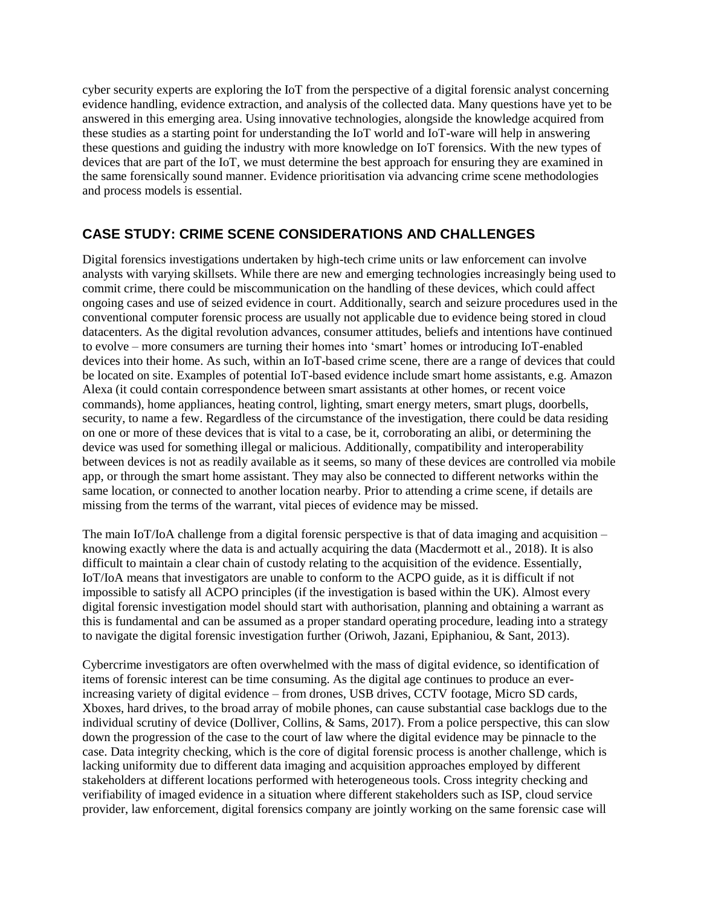cyber security experts are exploring the IoT from the perspective of a digital forensic analyst concerning evidence handling, evidence extraction, and analysis of the collected data. Many questions have yet to be answered in this emerging area. Using innovative technologies, alongside the knowledge acquired from these studies as a starting point for understanding the IoT world and IoT-ware will help in answering these questions and guiding the industry with more knowledge on IoT forensics. With the new types of devices that are part of the IoT, we must determine the best approach for ensuring they are examined in the same forensically sound manner. Evidence prioritisation via advancing crime scene methodologies and process models is essential.

## **CASE STUDY: CRIME SCENE CONSIDERATIONS AND CHALLENGES**

Digital forensics investigations undertaken by high-tech crime units or law enforcement can involve analysts with varying skillsets. While there are new and emerging technologies increasingly being used to commit crime, there could be miscommunication on the handling of these devices, which could affect ongoing cases and use of seized evidence in court. Additionally, search and seizure procedures used in the conventional computer forensic process are usually not applicable due to evidence being stored in cloud datacenters. As the digital revolution advances, consumer attitudes, beliefs and intentions have continued to evolve – more consumers are turning their homes into 'smart' homes or introducing IoT-enabled devices into their home. As such, within an IoT-based crime scene, there are a range of devices that could be located on site. Examples of potential IoT-based evidence include smart home assistants, e.g. Amazon Alexa (it could contain correspondence between smart assistants at other homes, or recent voice commands), home appliances, heating control, lighting, smart energy meters, smart plugs, doorbells, security, to name a few. Regardless of the circumstance of the investigation, there could be data residing on one or more of these devices that is vital to a case, be it, corroborating an alibi, or determining the device was used for something illegal or malicious. Additionally, compatibility and interoperability between devices is not as readily available as it seems, so many of these devices are controlled via mobile app, or through the smart home assistant. They may also be connected to different networks within the same location, or connected to another location nearby. Prior to attending a crime scene, if details are missing from the terms of the warrant, vital pieces of evidence may be missed.

The main IoT/IoA challenge from a digital forensic perspective is that of data imaging and acquisition – knowing exactly where the data is and actually acquiring the data (Macdermott et al., 2018). It is also difficult to maintain a clear chain of custody relating to the acquisition of the evidence. Essentially, IoT/IoA means that investigators are unable to conform to the ACPO guide, as it is difficult if not impossible to satisfy all ACPO principles (if the investigation is based within the UK). Almost every digital forensic investigation model should start with authorisation, planning and obtaining a warrant as this is fundamental and can be assumed as a proper standard operating procedure, leading into a strategy to navigate the digital forensic investigation further (Oriwoh, Jazani, Epiphaniou, & Sant, 2013).

Cybercrime investigators are often overwhelmed with the mass of digital evidence, so identification of items of forensic interest can be time consuming. As the digital age continues to produce an everincreasing variety of digital evidence – from drones, USB drives, CCTV footage, Micro SD cards, Xboxes, hard drives, to the broad array of mobile phones, can cause substantial case backlogs due to the individual scrutiny of device (Dolliver, Collins, & Sams, 2017). From a police perspective, this can slow down the progression of the case to the court of law where the digital evidence may be pinnacle to the case. Data integrity checking, which is the core of digital forensic process is another challenge, which is lacking uniformity due to different data imaging and acquisition approaches employed by different stakeholders at different locations performed with heterogeneous tools. Cross integrity checking and verifiability of imaged evidence in a situation where different stakeholders such as ISP, cloud service provider, law enforcement, digital forensics company are jointly working on the same forensic case will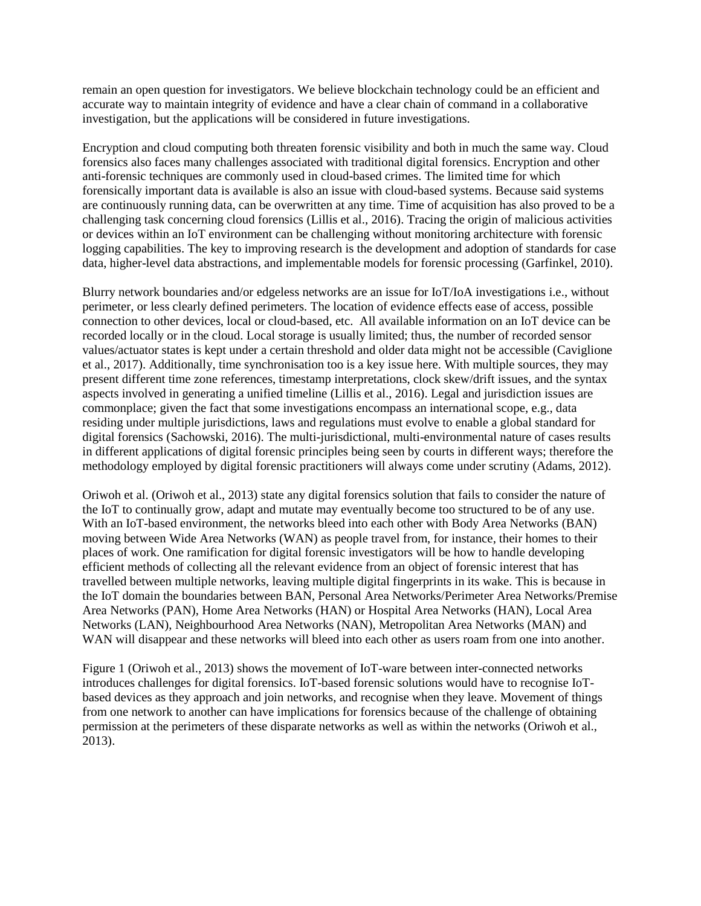remain an open question for investigators. We believe blockchain technology could be an efficient and accurate way to maintain integrity of evidence and have a clear chain of command in a collaborative investigation, but the applications will be considered in future investigations.

Encryption and cloud computing both threaten forensic visibility and both in much the same way. Cloud forensics also faces many challenges associated with traditional digital forensics. Encryption and other anti-forensic techniques are commonly used in cloud-based crimes. The limited time for which forensically important data is available is also an issue with cloud-based systems. Because said systems are continuously running data, can be overwritten at any time. Time of acquisition has also proved to be a challenging task concerning cloud forensics (Lillis et al., 2016). Tracing the origin of malicious activities or devices within an IoT environment can be challenging without monitoring architecture with forensic logging capabilities. The key to improving research is the development and adoption of standards for case data, higher-level data abstractions, and implementable models for forensic processing (Garfinkel, 2010).

Blurry network boundaries and/or edgeless networks are an issue for IoT/IoA investigations i.e., without perimeter, or less clearly defined perimeters. The location of evidence effects ease of access, possible connection to other devices, local or cloud-based, etc. All available information on an IoT device can be recorded locally or in the cloud. Local storage is usually limited; thus, the number of recorded sensor values/actuator states is kept under a certain threshold and older data might not be accessible (Caviglione et al., 2017). Additionally, time synchronisation too is a key issue here. With multiple sources, they may present different time zone references, timestamp interpretations, clock skew/drift issues, and the syntax aspects involved in generating a unified timeline (Lillis et al., 2016). Legal and jurisdiction issues are commonplace; given the fact that some investigations encompass an international scope, e.g., data residing under multiple jurisdictions, laws and regulations must evolve to enable a global standard for digital forensics (Sachowski, 2016). The multi-jurisdictional, multi-environmental nature of cases results in different applications of digital forensic principles being seen by courts in different ways; therefore the methodology employed by digital forensic practitioners will always come under scrutiny (Adams, 2012).

Oriwoh et al. (Oriwoh et al., 2013) state any digital forensics solution that fails to consider the nature of the IoT to continually grow, adapt and mutate may eventually become too structured to be of any use. With an IoT-based environment, the networks bleed into each other with Body Area Networks (BAN) moving between Wide Area Networks (WAN) as people travel from, for instance, their homes to their places of work. One ramification for digital forensic investigators will be how to handle developing efficient methods of collecting all the relevant evidence from an object of forensic interest that has travelled between multiple networks, leaving multiple digital fingerprints in its wake. This is because in the IoT domain the boundaries between BAN, Personal Area Networks/Perimeter Area Networks/Premise Area Networks (PAN), Home Area Networks (HAN) or Hospital Area Networks (HAN), Local Area Networks (LAN), Neighbourhood Area Networks (NAN), Metropolitan Area Networks (MAN) and WAN will disappear and these networks will bleed into each other as users roam from one into another.

Figure 1 (Oriwoh et al., 2013) shows the movement of IoT-ware between inter-connected networks introduces challenges for digital forensics. IoT-based forensic solutions would have to recognise IoTbased devices as they approach and join networks, and recognise when they leave. Movement of things from one network to another can have implications for forensics because of the challenge of obtaining permission at the perimeters of these disparate networks as well as within the networks (Oriwoh et al., 2013).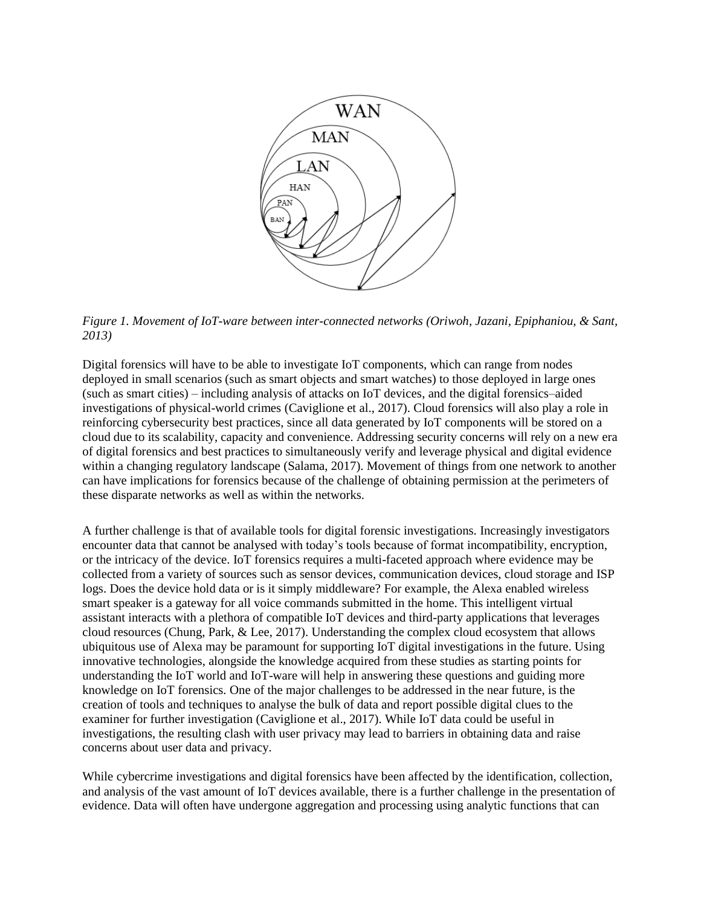

*Figure 1. Movement of IoT-ware between inter-connected networks (Oriwoh, Jazani, Epiphaniou, & Sant, 2013)*

Digital forensics will have to be able to investigate IoT components, which can range from nodes deployed in small scenarios (such as smart objects and smart watches) to those deployed in large ones (such as smart cities) – including analysis of attacks on IoT devices, and the digital forensics–aided investigations of physical-world crimes (Caviglione et al., 2017). Cloud forensics will also play a role in reinforcing cybersecurity best practices, since all data generated by IoT components will be stored on a cloud due to its scalability, capacity and convenience. Addressing security concerns will rely on a new era of digital forensics and best practices to simultaneously verify and leverage physical and digital evidence within a changing regulatory landscape (Salama, 2017). Movement of things from one network to another can have implications for forensics because of the challenge of obtaining permission at the perimeters of these disparate networks as well as within the networks.

A further challenge is that of available tools for digital forensic investigations. Increasingly investigators encounter data that cannot be analysed with today's tools because of format incompatibility, encryption, or the intricacy of the device. IoT forensics requires a multi-faceted approach where evidence may be collected from a variety of sources such as sensor devices, communication devices, cloud storage and ISP logs. Does the device hold data or is it simply middleware? For example, the Alexa enabled wireless smart speaker is a gateway for all voice commands submitted in the home. This intelligent virtual assistant interacts with a plethora of compatible IoT devices and third-party applications that leverages cloud resources (Chung, Park, & Lee, 2017). Understanding the complex cloud ecosystem that allows ubiquitous use of Alexa may be paramount for supporting IoT digital investigations in the future. Using innovative technologies, alongside the knowledge acquired from these studies as starting points for understanding the IoT world and IoT-ware will help in answering these questions and guiding more knowledge on IoT forensics. One of the major challenges to be addressed in the near future, is the creation of tools and techniques to analyse the bulk of data and report possible digital clues to the examiner for further investigation (Caviglione et al., 2017). While IoT data could be useful in investigations, the resulting clash with user privacy may lead to barriers in obtaining data and raise concerns about user data and privacy.

While cybercrime investigations and digital forensics have been affected by the identification, collection, and analysis of the vast amount of IoT devices available, there is a further challenge in the presentation of evidence. Data will often have undergone aggregation and processing using analytic functions that can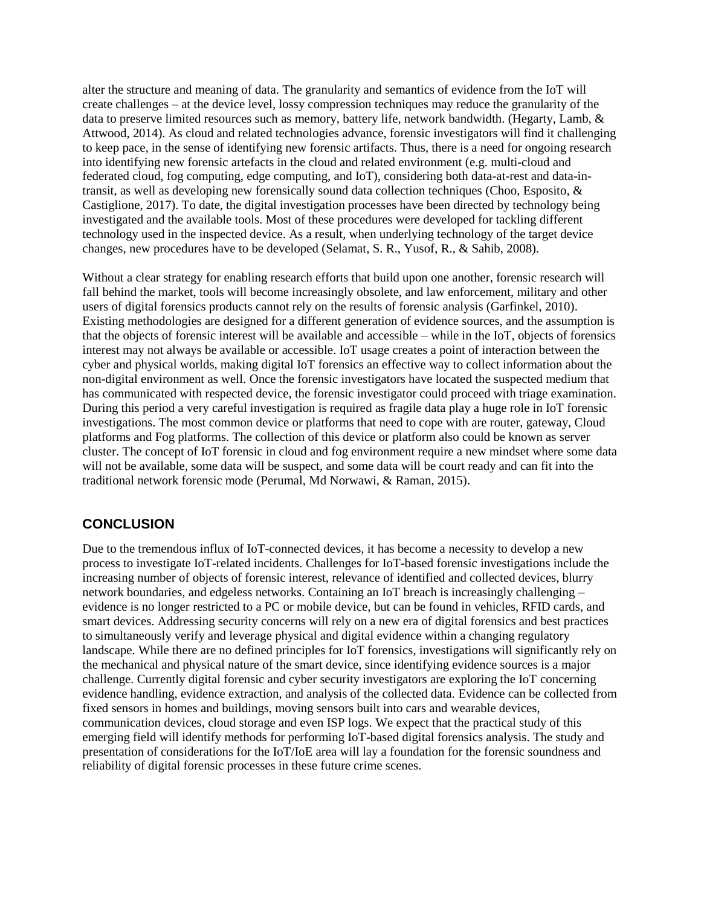alter the structure and meaning of data. The granularity and semantics of evidence from the IoT will create challenges – at the device level, lossy compression techniques may reduce the granularity of the data to preserve limited resources such as memory, battery life, network bandwidth. (Hegarty, Lamb, & Attwood, 2014). As cloud and related technologies advance, forensic investigators will find it challenging to keep pace, in the sense of identifying new forensic artifacts. Thus, there is a need for ongoing research into identifying new forensic artefacts in the cloud and related environment (e.g. multi-cloud and federated cloud, fog computing, edge computing, and IoT), considering both data-at-rest and data-intransit, as well as developing new forensically sound data collection techniques (Choo, Esposito, & Castiglione, 2017). To date, the digital investigation processes have been directed by technology being investigated and the available tools. Most of these procedures were developed for tackling different technology used in the inspected device. As a result, when underlying technology of the target device changes, new procedures have to be developed (Selamat, S. R., Yusof, R., & Sahib, 2008).

Without a clear strategy for enabling research efforts that build upon one another, forensic research will fall behind the market, tools will become increasingly obsolete, and law enforcement, military and other users of digital forensics products cannot rely on the results of forensic analysis (Garfinkel, 2010). Existing methodologies are designed for a different generation of evidence sources, and the assumption is that the objects of forensic interest will be available and accessible – while in the IoT, objects of forensics interest may not always be available or accessible. IoT usage creates a point of interaction between the cyber and physical worlds, making digital IoT forensics an effective way to collect information about the non-digital environment as well. Once the forensic investigators have located the suspected medium that has communicated with respected device, the forensic investigator could proceed with triage examination. During this period a very careful investigation is required as fragile data play a huge role in IoT forensic investigations. The most common device or platforms that need to cope with are router, gateway, Cloud platforms and Fog platforms. The collection of this device or platform also could be known as server cluster. The concept of IoT forensic in cloud and fog environment require a new mindset where some data will not be available, some data will be suspect, and some data will be court ready and can fit into the traditional network forensic mode (Perumal, Md Norwawi, & Raman, 2015).

### **CONCLUSION**

Due to the tremendous influx of IoT-connected devices, it has become a necessity to develop a new process to investigate IoT-related incidents. Challenges for IoT-based forensic investigations include the increasing number of objects of forensic interest, relevance of identified and collected devices, blurry network boundaries, and edgeless networks. Containing an IoT breach is increasingly challenging – evidence is no longer restricted to a PC or mobile device, but can be found in vehicles, RFID cards, and smart devices. Addressing security concerns will rely on a new era of digital forensics and best practices to simultaneously verify and leverage physical and digital evidence within a changing regulatory landscape. While there are no defined principles for IoT forensics, investigations will significantly rely on the mechanical and physical nature of the smart device, since identifying evidence sources is a major challenge. Currently digital forensic and cyber security investigators are exploring the IoT concerning evidence handling, evidence extraction, and analysis of the collected data. Evidence can be collected from fixed sensors in homes and buildings, moving sensors built into cars and wearable devices, communication devices, cloud storage and even ISP logs. We expect that the practical study of this emerging field will identify methods for performing IoT-based digital forensics analysis. The study and presentation of considerations for the IoT/IoE area will lay a foundation for the forensic soundness and reliability of digital forensic processes in these future crime scenes.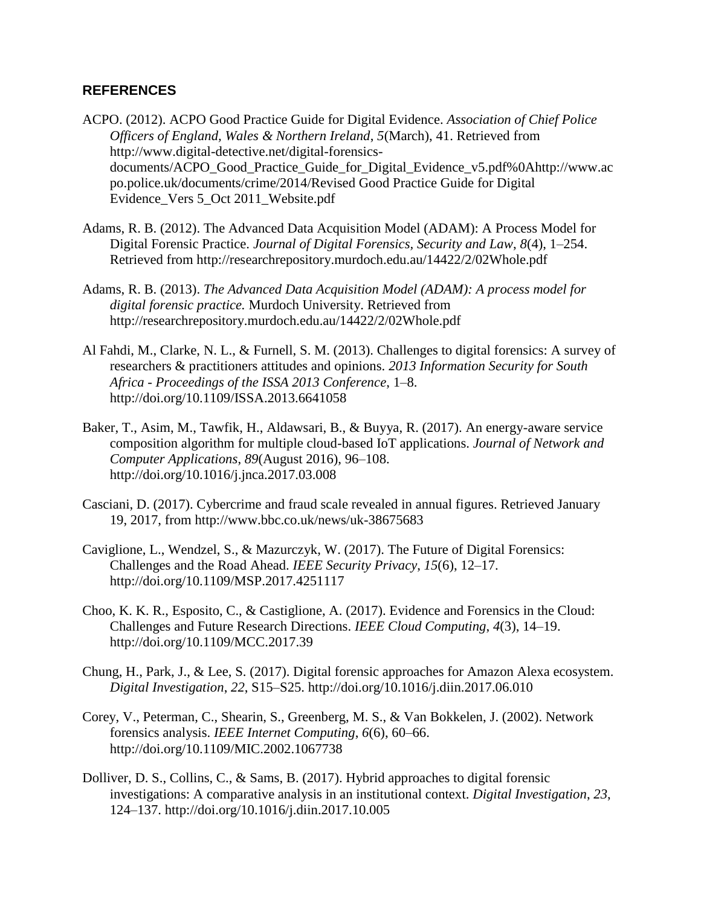#### **REFERENCES**

- ACPO. (2012). ACPO Good Practice Guide for Digital Evidence. *Association of Chief Police Officers of England, Wales & Northern Ireland*, *5*(March), 41. Retrieved from http://www.digital-detective.net/digital-forensicsdocuments/ACPO\_Good\_Practice\_Guide\_for\_Digital\_Evidence\_v5.pdf%0Ahttp://www.ac po.police.uk/documents/crime/2014/Revised Good Practice Guide for Digital Evidence\_Vers 5\_Oct 2011\_Website.pdf
- Adams, R. B. (2012). The Advanced Data Acquisition Model (ADAM): A Process Model for Digital Forensic Practice. *Journal of Digital Forensics, Security and Law*, *8*(4), 1–254. Retrieved from http://researchrepository.murdoch.edu.au/14422/2/02Whole.pdf
- Adams, R. B. (2013). *The Advanced Data Acquisition Model (ADAM): A process model for digital forensic practice.* Murdoch University. Retrieved from http://researchrepository.murdoch.edu.au/14422/2/02Whole.pdf
- Al Fahdi, M., Clarke, N. L., & Furnell, S. M. (2013). Challenges to digital forensics: A survey of researchers & practitioners attitudes and opinions. *2013 Information Security for South Africa - Proceedings of the ISSA 2013 Conference*, 1–8. http://doi.org/10.1109/ISSA.2013.6641058
- Baker, T., Asim, M., Tawfik, H., Aldawsari, B., & Buyya, R. (2017). An energy-aware service composition algorithm for multiple cloud-based IoT applications. *Journal of Network and Computer Applications*, *89*(August 2016), 96–108. http://doi.org/10.1016/j.jnca.2017.03.008
- Casciani, D. (2017). Cybercrime and fraud scale revealed in annual figures. Retrieved January 19, 2017, from http://www.bbc.co.uk/news/uk-38675683
- Caviglione, L., Wendzel, S., & Mazurczyk, W. (2017). The Future of Digital Forensics: Challenges and the Road Ahead. *IEEE Security Privacy*, *15*(6), 12–17. http://doi.org/10.1109/MSP.2017.4251117
- Choo, K. K. R., Esposito, C., & Castiglione, A. (2017). Evidence and Forensics in the Cloud: Challenges and Future Research Directions. *IEEE Cloud Computing*, *4*(3), 14–19. http://doi.org/10.1109/MCC.2017.39
- Chung, H., Park, J., & Lee, S. (2017). Digital forensic approaches for Amazon Alexa ecosystem. *Digital Investigation*, *22*, S15–S25. http://doi.org/10.1016/j.diin.2017.06.010
- Corey, V., Peterman, C., Shearin, S., Greenberg, M. S., & Van Bokkelen, J. (2002). Network forensics analysis. *IEEE Internet Computing*, *6*(6), 60–66. http://doi.org/10.1109/MIC.2002.1067738
- Dolliver, D. S., Collins, C., & Sams, B. (2017). Hybrid approaches to digital forensic investigations: A comparative analysis in an institutional context. *Digital Investigation*, *23*, 124–137. http://doi.org/10.1016/j.diin.2017.10.005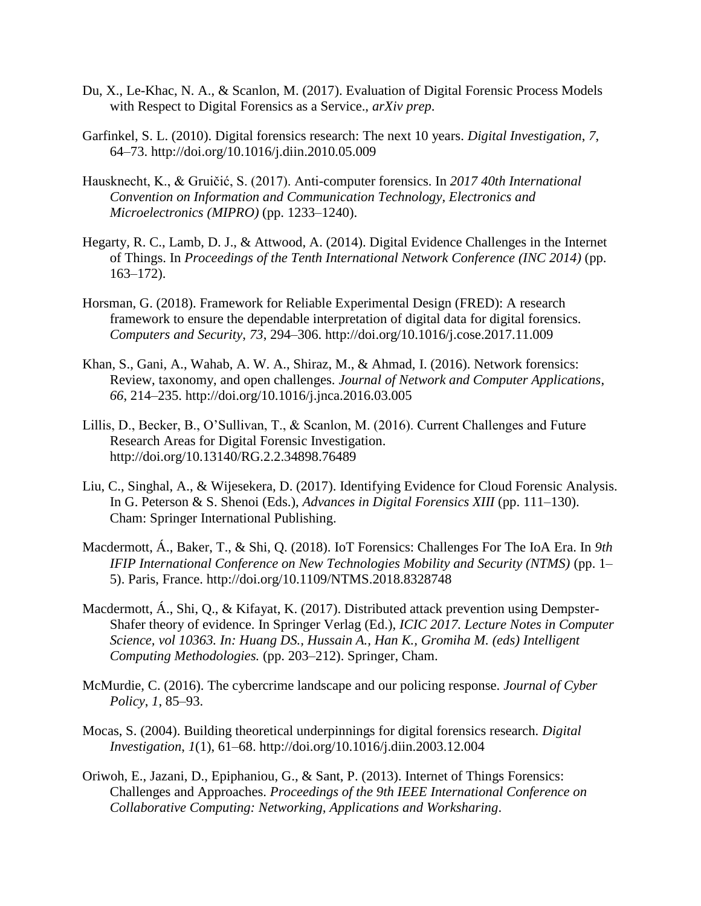- Du, X., Le-Khac, N. A., & Scanlon, M. (2017). Evaluation of Digital Forensic Process Models with Respect to Digital Forensics as a Service., *arXiv prep*.
- Garfinkel, S. L. (2010). Digital forensics research: The next 10 years. *Digital Investigation*, *7*, 64–73. http://doi.org/10.1016/j.diin.2010.05.009
- Hausknecht, K., & Gruičić, S. (2017). Anti-computer forensics. In *2017 40th International Convention on Information and Communication Technology, Electronics and Microelectronics (MIPRO)* (pp. 1233–1240).
- Hegarty, R. C., Lamb, D. J., & Attwood, A. (2014). Digital Evidence Challenges in the Internet of Things. In *Proceedings of the Tenth International Network Conference (INC 2014)* (pp. 163–172).
- Horsman, G. (2018). Framework for Reliable Experimental Design (FRED): A research framework to ensure the dependable interpretation of digital data for digital forensics. *Computers and Security*, *73*, 294–306. http://doi.org/10.1016/j.cose.2017.11.009
- Khan, S., Gani, A., Wahab, A. W. A., Shiraz, M., & Ahmad, I. (2016). Network forensics: Review, taxonomy, and open challenges. *Journal of Network and Computer Applications*, *66*, 214–235. http://doi.org/10.1016/j.jnca.2016.03.005
- Lillis, D., Becker, B., O'Sullivan, T., & Scanlon, M. (2016). Current Challenges and Future Research Areas for Digital Forensic Investigation. http://doi.org/10.13140/RG.2.2.34898.76489
- Liu, C., Singhal, A., & Wijesekera, D. (2017). Identifying Evidence for Cloud Forensic Analysis. In G. Peterson & S. Shenoi (Eds.), *Advances in Digital Forensics XIII* (pp. 111–130). Cham: Springer International Publishing.
- Macdermott, Á., Baker, T., & Shi, Q. (2018). IoT Forensics: Challenges For The IoA Era. In *9th IFIP International Conference on New Technologies Mobility and Security (NTMS)* (pp. 1– 5). Paris, France. http://doi.org/10.1109/NTMS.2018.8328748
- Macdermott, Á., Shi, Q., & Kifayat, K. (2017). Distributed attack prevention using Dempster-Shafer theory of evidence. In Springer Verlag (Ed.), *ICIC 2017. Lecture Notes in Computer Science, vol 10363. In: Huang DS., Hussain A., Han K., Gromiha M. (eds) Intelligent Computing Methodologies.* (pp. 203–212). Springer, Cham.
- McMurdie, C. (2016). The cybercrime landscape and our policing response. *Journal of Cyber Policy*, *1*, 85–93.
- Mocas, S. (2004). Building theoretical underpinnings for digital forensics research. *Digital Investigation*, *1*(1), 61–68. http://doi.org/10.1016/j.diin.2003.12.004
- Oriwoh, E., Jazani, D., Epiphaniou, G., & Sant, P. (2013). Internet of Things Forensics: Challenges and Approaches. *Proceedings of the 9th IEEE International Conference on Collaborative Computing: Networking, Applications and Worksharing*.